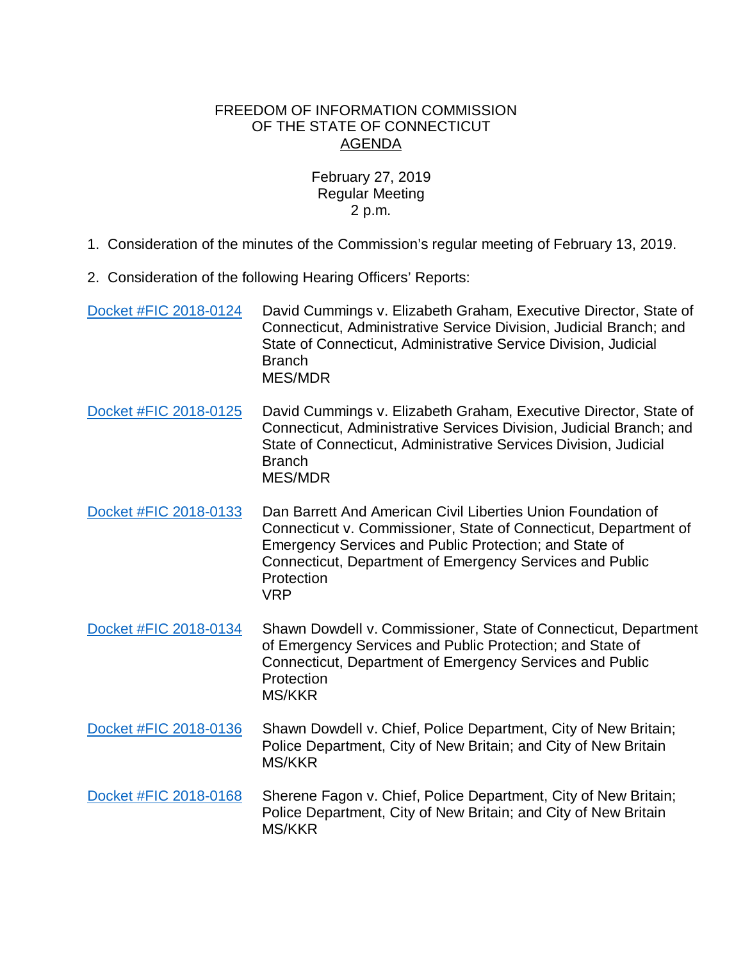## FREEDOM OF INFORMATION COMMISSION OF THE STATE OF CONNECTICUT AGENDA

## February 27, 2019 Regular Meeting 2 p.m.

- 1. Consideration of the minutes of the Commission's regular meeting of February 13, 2019.
- 2. Consideration of the following Hearing Officers' Reports:

| Docket #FIC 2018-0124 | David Cummings v. Elizabeth Graham, Executive Director, State of<br>Connecticut, Administrative Service Division, Judicial Branch; and<br>State of Connecticut, Administrative Service Division, Judicial<br><b>Branch</b><br><b>MES/MDR</b>                                       |
|-----------------------|------------------------------------------------------------------------------------------------------------------------------------------------------------------------------------------------------------------------------------------------------------------------------------|
| Docket #FIC 2018-0125 | David Cummings v. Elizabeth Graham, Executive Director, State of<br>Connecticut, Administrative Services Division, Judicial Branch; and<br>State of Connecticut, Administrative Services Division, Judicial<br><b>Branch</b><br><b>MES/MDR</b>                                     |
| Docket #FIC 2018-0133 | Dan Barrett And American Civil Liberties Union Foundation of<br>Connecticut v. Commissioner, State of Connecticut, Department of<br>Emergency Services and Public Protection; and State of<br>Connecticut, Department of Emergency Services and Public<br>Protection<br><b>VRP</b> |
| Docket #FIC 2018-0134 | Shawn Dowdell v. Commissioner, State of Connecticut, Department<br>of Emergency Services and Public Protection; and State of<br>Connecticut, Department of Emergency Services and Public<br>Protection<br><b>MS/KKR</b>                                                            |
| Docket #FIC 2018-0136 | Shawn Dowdell v. Chief, Police Department, City of New Britain;<br>Police Department, City of New Britain; and City of New Britain<br><b>MS/KKR</b>                                                                                                                                |
| Docket #FIC 2018-0168 | Sherene Fagon v. Chief, Police Department, City of New Britain;<br>Police Department, City of New Britain; and City of New Britain<br><b>MS/KKR</b>                                                                                                                                |